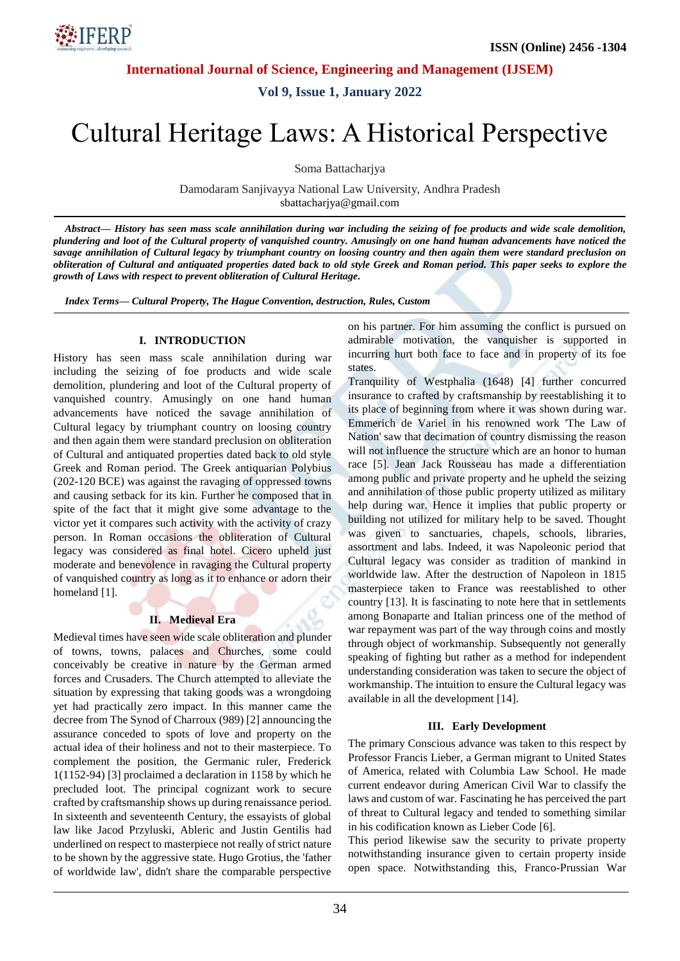

**International Journal of Science, Engineering and Management (IJSEM)**

**Vol 9, Issue 1, January 2022**

# Cultural Heritage Laws: A Historical Perspective

Soma Battacharjya

Damodaram Sanjivayya National Law University, Andhra Pradesh sbattacharjya@gmail.com

*Abstract— History has seen mass scale annihilation during war including the seizing of foe products and wide scale demolition, plundering and loot of the Cultural property of vanquished country. Amusingly on one hand human advancements have noticed the savage annihilation of Cultural legacy by triumphant country on loosing country and then again them were standard preclusion on obliteration of Cultural and antiquated properties dated back to old style Greek and Roman period. This paper seeks to explore the growth of Laws with respect to prevent obliteration of Cultural Heritage.*

*Index Terms— Cultural Property, The Hague Convention, destruction, Rules, Custom*

## **I. INTRODUCTION**

History has seen mass scale annihilation during war including the seizing of foe products and wide scale demolition, plundering and loot of the Cultural property of vanquished country. Amusingly on one hand human advancements have noticed the savage annihilation of Cultural legacy by triumphant country on loosing country and then again them were standard preclusion on obliteration of Cultural and antiquated properties dated back to old style Greek and Roman period. The Greek antiquarian Polybius (202-120 BCE) was against the ravaging of oppressed towns and causing setback for its kin. Further he composed that in spite of the fact that it might give some advantage to the victor yet it compares such activity with the activity of crazy person. In Roman occasions the obliteration of Cultural legacy was considered as final hotel. Cicero upheld just moderate and benevolence in ravaging the Cultural property of vanquished country as long as it to enhance or adorn their homeland [1].

# **II. Medieval Era**

Medieval times have seen wide scale obliteration and plunder of towns, towns, palaces and Churches, some could conceivably be creative in nature by the German armed forces and Crusaders. The Church attempted to alleviate the situation by expressing that taking goods was a wrongdoing yet had practically zero impact. In this manner came the decree from The Synod of Charroux (989) [2] announcing the assurance conceded to spots of love and property on the actual idea of their holiness and not to their masterpiece. To complement the position, the Germanic ruler, Frederick 1(1152-94) [3] proclaimed a declaration in 1158 by which he precluded loot. The principal cognizant work to secure crafted by craftsmanship shows up during renaissance period. In sixteenth and seventeenth Century, the essayists of global law like Jacod Przyluski, Ableric and Justin Gentilis had underlined on respect to masterpiece not really of strict nature to be shown by the aggressive state. Hugo Grotius, the 'father of worldwide law', didn't share the comparable perspective on his partner. For him assuming the conflict is pursued on admirable motivation, the vanquisher is supported in incurring hurt both face to face and in property of its foe states.

Tranquility of Westphalia (1648) [4] further concurred insurance to crafted by craftsmanship by reestablishing it to its place of beginning from where it was shown during war. Emmerich de Variel in his renowned work 'The Law of Nation' saw that decimation of country dismissing the reason will not influence the structure which are an honor to human race [5]. Jean Jack Rousseau has made a differentiation among public and private property and he upheld the seizing and annihilation of those public property utilized as military help during war. Hence it implies that public property or building not utilized for military help to be saved. Thought was given to sanctuaries, chapels, schools, libraries, assortment and labs. Indeed, it was Napoleonic period that Cultural legacy was consider as tradition of mankind in worldwide law. After the destruction of Napoleon in 1815 masterpiece taken to France was reestablished to other country [13]. It is fascinating to note here that in settlements among Bonaparte and Italian princess one of the method of war repayment was part of the way through coins and mostly through object of workmanship. Subsequently not generally speaking of fighting but rather as a method for independent understanding consideration was taken to secure the object of workmanship. The intuition to ensure the Cultural legacy was available in all the development [14].

# **III. Early Development**

The primary Conscious advance was taken to this respect by Professor Francis Lieber, a German migrant to United States of America, related with Columbia Law School. He made current endeavor during American Civil War to classify the laws and custom of war. Fascinating he has perceived the part of threat to Cultural legacy and tended to something similar in his codification known as Lieber Code [6].

This period likewise saw the security to private property notwithstanding insurance given to certain property inside open space. Notwithstanding this, Franco-Prussian War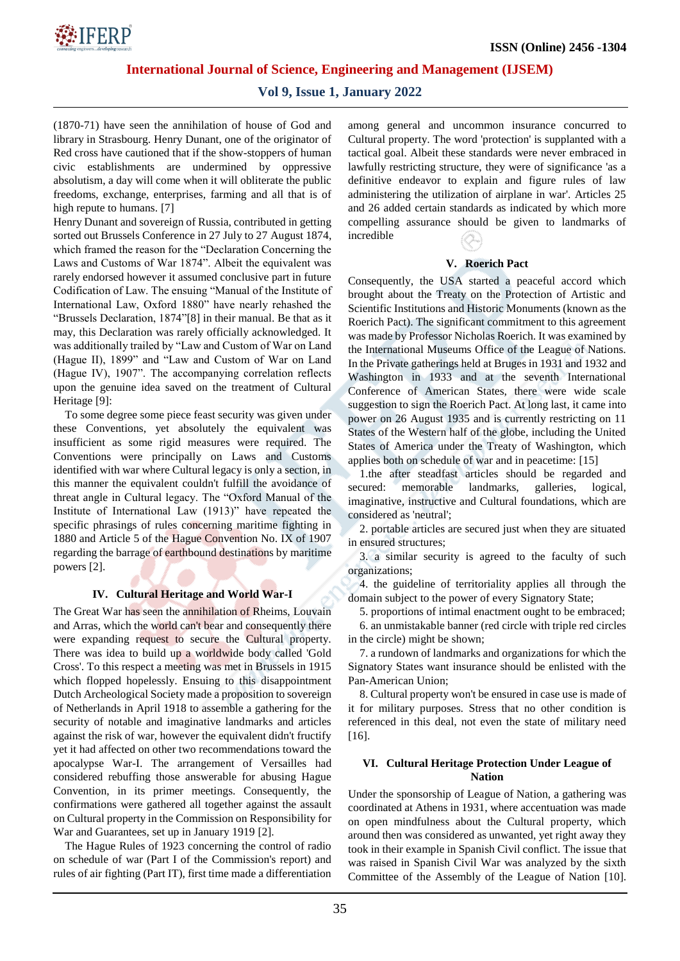

**International Journal of Science, Engineering and Management (IJSEM)**

# **Vol 9, Issue 1, January 2022**

(1870-71) have seen the annihilation of house of God and library in Strasbourg. Henry Dunant, one of the originator of Red cross have cautioned that if the show-stoppers of human civic establishments are undermined by oppressive absolutism, a day will come when it will obliterate the public freedoms, exchange, enterprises, farming and all that is of high repute to humans. [7]

Henry Dunant and sovereign of Russia, contributed in getting sorted out Brussels Conference in 27 July to 27 August 1874, which framed the reason for the "Declaration Concerning the Laws and Customs of War 1874". Albeit the equivalent was rarely endorsed however it assumed conclusive part in future Codification of Law. The ensuing "Manual of the Institute of International Law, Oxford 1880" have nearly rehashed the "Brussels Declaration, 1874"[8] in their manual. Be that as it may, this Declaration was rarely officially acknowledged. It was additionally trailed by "Law and Custom of War on Land (Hague II), 1899" and "Law and Custom of War on Land (Hague IV), 1907". The accompanying correlation reflects upon the genuine idea saved on the treatment of Cultural Heritage [9]:

To some degree some piece feast security was given under these Conventions, yet absolutely the equivalent was insufficient as some rigid measures were required. The Conventions were principally on Laws and Customs identified with war where Cultural legacy is only a section, in this manner the equivalent couldn't fulfill the avoidance of threat angle in Cultural legacy. The "Oxford Manual of the Institute of International Law (1913)" have repeated the specific phrasings of rules concerning maritime fighting in 1880 and Article 5 of the Hague Convention No. IX of 1907 regarding the barrage of earthbound destinations by maritime powers [2].

#### **IV. Cultural Heritage and World War-I**

The Great War has seen the annihilation of Rheims, Louvain and Arras, which the world can't bear and consequently there were expanding request to secure the Cultural property. There was idea to build up a worldwide body called 'Gold Cross'. To this respect a meeting was met in Brussels in 1915 which flopped hopelessly. Ensuing to this disappointment Dutch Archeological Society made a proposition to sovereign of Netherlands in April 1918 to assemble a gathering for the security of notable and imaginative landmarks and articles against the risk of war, however the equivalent didn't fructify yet it had affected on other two recommendations toward the apocalypse War-I. The arrangement of Versailles had considered rebuffing those answerable for abusing Hague Convention, in its primer meetings. Consequently, the confirmations were gathered all together against the assault on Cultural property in the Commission on Responsibility for War and Guarantees, set up in January 1919 [2].

The Hague Rules of 1923 concerning the control of radio on schedule of war (Part I of the Commission's report) and rules of air fighting (Part IT), first time made a differentiation among general and uncommon insurance concurred to Cultural property. The word 'protection' is supplanted with a tactical goal. Albeit these standards were never embraced in lawfully restricting structure, they were of significance 'as a definitive endeavor to explain and figure rules of law administering the utilization of airplane in war'. Articles 25 and 26 added certain standards as indicated by which more compelling assurance should be given to landmarks of incredible

## **V. Roerich Pact**

Consequently, the USA started a peaceful accord which brought about the Treaty on the Protection of Artistic and Scientific Institutions and Historic Monuments (known as the Roerich Pact). The significant commitment to this agreement was made by Professor Nicholas Roerich. It was examined by the International Museums Office of the League of Nations. In the Private gatherings held at Bruges in 1931 and 1932 and Washington in 1933 and at the seventh International Conference of American States, there were wide scale suggestion to sign the Roerich Pact. At long last, it came into power on 26 August 1935 and is currently restricting on 11 States of the Western half of the globe, including the United States of America under the Treaty of Washington, which applies both on schedule of war and in peacetime: [15]

1.the after steadfast articles should be regarded and secured: memorable landmarks, galleries, logical, imaginative, instructive and Cultural foundations, which are considered as 'neutral';

2. portable articles are secured just when they are situated in ensured structures;

3. a similar security is agreed to the faculty of such organizations;

4. the guideline of territoriality applies all through the domain subject to the power of every Signatory State;

5. proportions of intimal enactment ought to be embraced;

6. an unmistakable banner (red circle with triple red circles in the circle) might be shown;

7. a rundown of landmarks and organizations for which the Signatory States want insurance should be enlisted with the Pan-American Union;

8. Cultural property won't be ensured in case use is made of it for military purposes. Stress that no other condition is referenced in this deal, not even the state of military need [16].

#### **VI. Cultural Heritage Protection Under League of Nation**

Under the sponsorship of League of Nation, a gathering was coordinated at Athens in 1931, where accentuation was made on open mindfulness about the Cultural property, which around then was considered as unwanted, yet right away they took in their example in Spanish Civil conflict. The issue that was raised in Spanish Civil War was analyzed by the sixth Committee of the Assembly of the League of Nation [10].